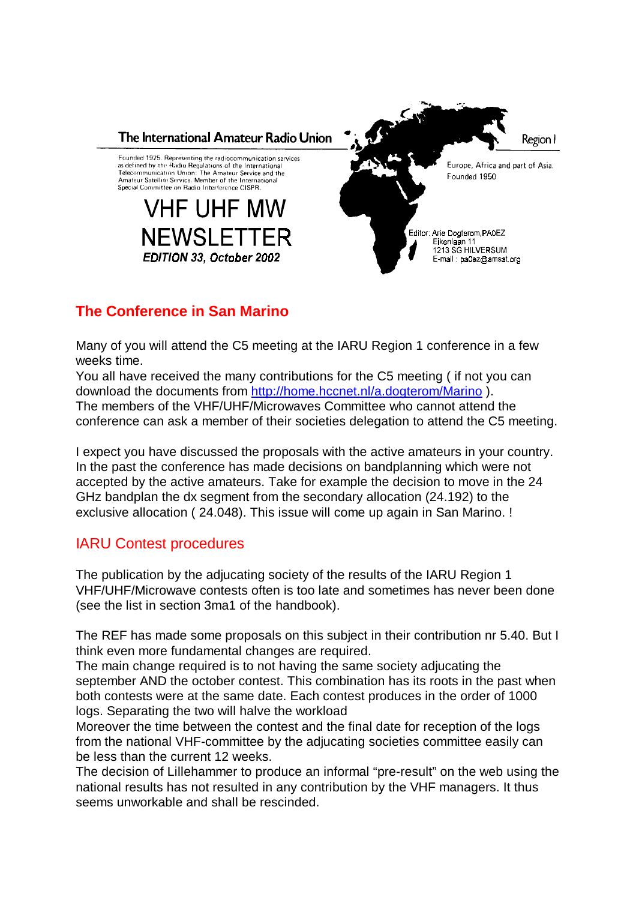

# **The Conference in San Marino**

Many of you will attend the C5 meeting at the IARU Region 1 conference in a few weeks time.

You all have received the many contributions for the C5 meeting ( if not you can download the documents from http://home.hccnet.nl/a.dogterom/Marino ). The members of the VHF/UHF/Microwaves Committee who cannot attend the conference can ask a member of their societies delegation to attend the C5 meeting.

I expect you have discussed the proposals with the active amateurs in your country. In the past the conference has made decisions on bandplanning which were not accepted by the active amateurs. Take for example the decision to move in the 24 GHz bandplan the dx segment from the secondary allocation (24.192) to the exclusive allocation ( 24.048). This issue will come up again in San Marino. !

## IARU Contest procedures

The publication by the adjucating society of the results of the IARU Region 1 VHF/UHF/Microwave contests often is too late and sometimes has never been done (see the list in section 3ma1 of the handbook).

The REF has made some proposals on this subject in their contribution nr 5.40. But I think even more fundamental changes are required.

The main change required is to not having the same society adjucating the september AND the october contest. This combination has its roots in the past when both contests were at the same date. Each contest produces in the order of 1000 logs. Separating the two will halve the workload

Moreover the time between the contest and the final date for reception of the logs from the national VHF-committee by the adjucating societies committee easily can be less than the current 12 weeks.

The decision of Lillehammer to produce an informal "pre-result" on the web using the national results has not resulted in any contribution by the VHF managers. It thus seems unworkable and shall be rescinded.